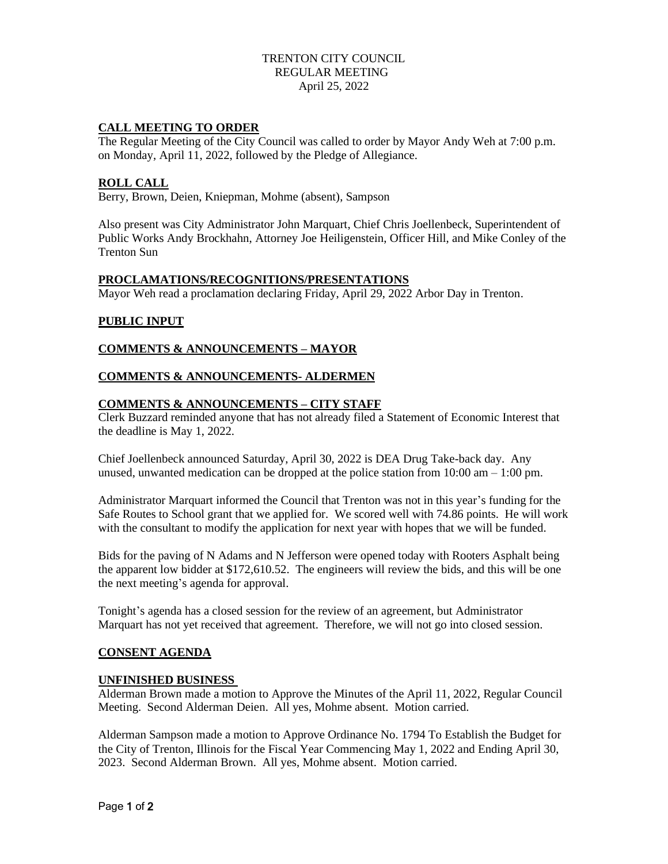# TRENTON CITY COUNCIL REGULAR MEETING April 25, 2022

### **CALL MEETING TO ORDER**

The Regular Meeting of the City Council was called to order by Mayor Andy Weh at 7:00 p.m. on Monday, April 11, 2022, followed by the Pledge of Allegiance.

#### **ROLL CALL**

Berry, Brown, Deien, Kniepman, Mohme (absent), Sampson

Also present was City Administrator John Marquart, Chief Chris Joellenbeck, Superintendent of Public Works Andy Brockhahn, Attorney Joe Heiligenstein, Officer Hill, and Mike Conley of the Trenton Sun

#### **PROCLAMATIONS/RECOGNITIONS/PRESENTATIONS**

Mayor Weh read a proclamation declaring Friday, April 29, 2022 Arbor Day in Trenton.

# **PUBLIC INPUT**

### **COMMENTS & ANNOUNCEMENTS – MAYOR**

### **COMMENTS & ANNOUNCEMENTS- ALDERMEN**

### **COMMENTS & ANNOUNCEMENTS – CITY STAFF**

Clerk Buzzard reminded anyone that has not already filed a Statement of Economic Interest that the deadline is May 1, 2022.

Chief Joellenbeck announced Saturday, April 30, 2022 is DEA Drug Take-back day. Any unused, unwanted medication can be dropped at the police station from  $10:00 \text{ am} - 1:00 \text{ pm}$ .

Administrator Marquart informed the Council that Trenton was not in this year's funding for the Safe Routes to School grant that we applied for. We scored well with 74.86 points. He will work with the consultant to modify the application for next year with hopes that we will be funded.

Bids for the paving of N Adams and N Jefferson were opened today with Rooters Asphalt being the apparent low bidder at \$172,610.52. The engineers will review the bids, and this will be one the next meeting's agenda for approval.

Tonight's agenda has a closed session for the review of an agreement, but Administrator Marquart has not yet received that agreement. Therefore, we will not go into closed session.

#### **CONSENT AGENDA**

#### **UNFINISHED BUSINESS**

Alderman Brown made a motion to Approve the Minutes of the April 11, 2022, Regular Council Meeting. Second Alderman Deien. All yes, Mohme absent. Motion carried.

Alderman Sampson made a motion to Approve Ordinance No. 1794 To Establish the Budget for the City of Trenton, Illinois for the Fiscal Year Commencing May 1, 2022 and Ending April 30, 2023. Second Alderman Brown. All yes, Mohme absent. Motion carried.